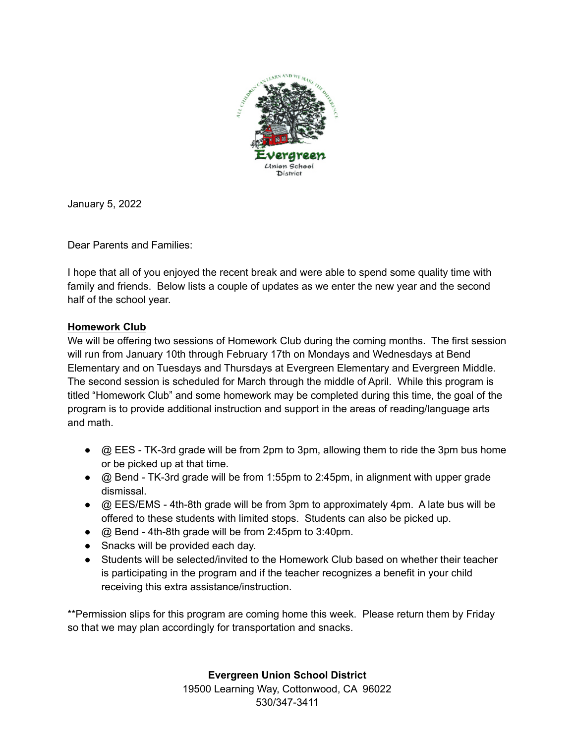

January 5, 2022

Dear Parents and Families:

I hope that all of you enjoyed the recent break and were able to spend some quality time with family and friends. Below lists a couple of updates as we enter the new year and the second half of the school year.

## **Homework Club**

We will be offering two sessions of Homework Club during the coming months. The first session will run from January 10th through February 17th on Mondays and Wednesdays at Bend Elementary and on Tuesdays and Thursdays at Evergreen Elementary and Evergreen Middle. The second session is scheduled for March through the middle of April. While this program is titled "Homework Club" and some homework may be completed during this time, the goal of the program is to provide additional instruction and support in the areas of reading/language arts and math.

- $\bullet$   $\oslash$  EES TK-3rd grade will be from 2pm to 3pm, allowing them to ride the 3pm bus home or be picked up at that time.
- $\bullet$   $\oslash$  Bend TK-3rd grade will be from 1:55pm to 2:45pm, in alignment with upper grade dismissal.
- @ EES/EMS 4th-8th grade will be from 3pm to approximately 4pm. A late bus will be offered to these students with limited stops. Students can also be picked up.
- @ Bend 4th-8th grade will be from 2:45pm to 3:40pm.
- Snacks will be provided each day.
- Students will be selected/invited to the Homework Club based on whether their teacher is participating in the program and if the teacher recognizes a benefit in your child receiving this extra assistance/instruction.

\*\*Permission slips for this program are coming home this week. Please return them by Friday so that we may plan accordingly for transportation and snacks.

**Evergreen Union School District**

19500 Learning Way, Cottonwood, CA 96022 530/347-3411